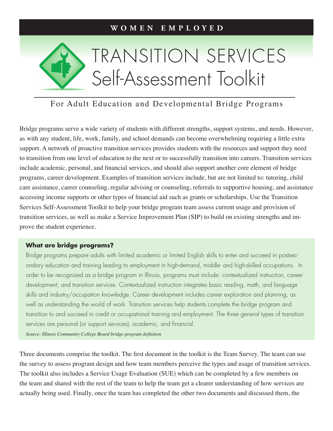

### For Adult Education and Developmental Bridge Programs

Bridge programs serve a wide variety of students with different strengths, support systems, and needs. However, as with any student, life, work, family, and school demands can become overwhelming requiring a little extra support. A network of proactive transition services provides students with the resources and support they need to transition from one level of education to the next or to successfully transition into careers. Transition services include academic, personal, and financial services, and should also support another core element of bridge programs, career development. Examples of transition services include, but are not limited to: tutoring, child care assistance, career counseling, regular advising or counseling, referrals to supportive housing, and assistance accessing income supports or other types of financial aid such as grants or scholarships. Use the Transition Services Self-Assessment Toolkit to help your bridge program team assess current usage and provision of transition services, as well as make a Service Improvement Plan (SIP) to build on existing strengths and improve the student experience.

#### **What are bridge programs?**

Bridge programs prepare adults with limited academic or limited English skills to enter and succeed in postsecondary education and training leading to employment in high-demand, middle- and high-skilled occupations. In order to be recognized as a bridge program in Illinois, programs must include: contextualized instruction, career development, and transition services. Contextualized instruction integrates basic reading, math, and language skills and industry/occupation knowledge. Career development includes career exploration and planning, as well as understanding the world of work. Transition services help students complete the bridge program and transition to and succeed in credit or occupational training and employment. The three general types of transition services are personal (or support services), academic, and financial.

*Source: Illinois Community College Board bridge program definition*

Three documents comprise the toolkit. The first document in the toolkit is the Team Survey. The team can use the survey to assess program design and how team members perceive the types and usage of transition services. The toolkit also includes a Service Usage Evaluation (SUE) which can be completed by a few members on the team and shared with the rest of the team to help the team get a clearer understanding of how services are actually being used. Finally, once the team has completed the other two documents and discussed them, the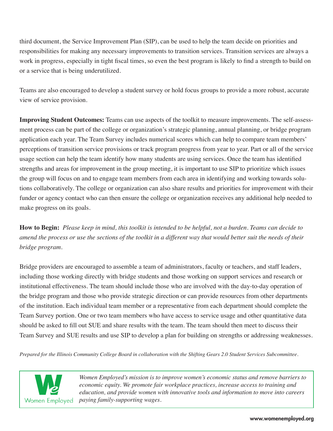third document, the Service Improvement Plan (SIP), can be used to help the team decide on priorities and responsibilities for making any necessary improvements to transition services. Transition services are always a work in progress, especially in tight fiscal times, so even the best program is likely to find a strength to build on or a service that is being underutilized.

Teams are also encouraged to develop a student survey or hold focus groups to provide a more robust, accurate view of service provision.

**Improving Student Outcomes:** Teams can use aspects of the toolkit to measure improvements. The self-assessment process can be part of the college or organization's strategic planning, annual planning, or bridge program application each year. The Team Survey includes numerical scores which can help to compare team members' perceptions of transition service provisions or track program progress from year to year. Part or all of the service usage section can help the team identify how many students are using services. Once the team has identified strengths and areas for improvement in the group meeting, it is important to use SIP to prioritize which issues the group will focus on and to engage team members from each area in identifying and working towards solutions collaboratively. The college or organization can also share results and priorities for improvement with their funder or agency contact who can then ensure the college or organization receives any additional help needed to make progress on its goals.

**How to Begin:** *Please keep in mind, this toolkit is intended to be helpful, not a burden. Teams can decide to amend the process or use the sections of the toolkit in a different way that would better suit the needs of their bridge program.* 

Bridge providers are encouraged to assemble a team of administrators, faculty or teachers, and staff leaders, including those working directly with bridge students and those working on support services and research or institutional effectiveness. The team should include those who are involved with the day-to-day operation of the bridge program and those who provide strategic direction or can provide resources from other departments of the institution. Each individual team member or a representative from each department should complete the Team Survey portion. One or two team members who have access to service usage and other quantitative data should be asked to fill out SUE and share results with the team. The team should then meet to discuss their Team Survey and SUE results and use SIP to develop a plan for building on strengths or addressing weaknesses.

*Prepared for the Illinois Community College Board in collaboration with the Shifting Gears 2.0 Student Services Subcommittee.*



*Women Employed's mission is to improve women's economic status and remove barriers to economic equity. We promote fair workplace practices, increase access to training and education, and provide women with innovative tools and information to move into careers paying family-supporting wages.*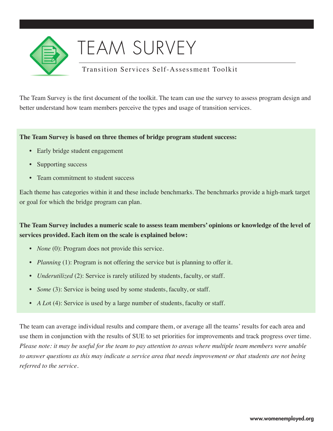

## TEAM SURVEY

### Transition Services Self-Assessment Toolkit

The Team Survey is the first document of the toolkit. The team can use the survey to assess program design and better understand how team members perceive the types and usage of transition services.

#### **The Team Survey is based on three themes of bridge program student success:**

- Early bridge student engagement
- Supporting success
- Team commitment to student success

Each theme has categories within it and these include benchmarks. The benchmarks provide a high-mark target or goal for which the bridge program can plan.

### **The Team Survey includes a numeric scale to assess team members' opinions or knowledge of the level of services provided. Each item on the scale is explained below:**

- *None* (0): Program does not provide this service.
- *Planning* (1): Program is not offering the service but is planning to offer it.
- *Underutilized* (2): Service is rarely utilized by students, faculty, or staff.
- *Some* (3): Service is being used by some students, faculty, or staff.
- *A Lo*t (4): Service is used by a large number of students, faculty or staff.

The team can average individual results and compare them, or average all the teams' results for each area and use them in conjunction with the results of SUE to set priorities for improvements and track progress over time. *Please note: it may be useful for the team to pay attention to areas where multiple team members were unable to answer questions as this may indicate a service area that needs improvement or that students are not being referred to the service.*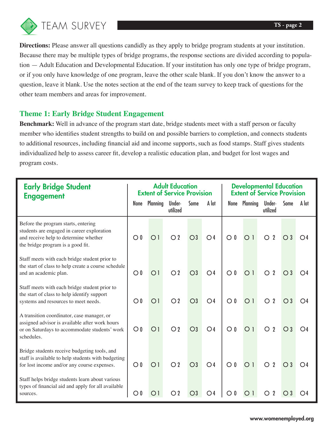

**Directions:** Please answer all questions candidly as they apply to bridge program students at your institution. Because there may be multiple types of bridge programs, the response sections are divided according to population — Adult Education and Developmental Education. If your institution has only one type of bridge program, or if you only have knowledge of one program, leave the other scale blank. If you don't know the answer to a question, leave it blank. Use the notes section at the end of the team survey to keep track of questions for the other team members and areas for improvement.

### **Theme 1: Early Bridge Student Engagement**

**Benchmark:** Well in advance of the program start date, bridge students meet with a staff person or faculty member who identifies student strengths to build on and possible barriers to completion, and connects students to additional resources, including financial aid and income supports, such as food stamps. Staff gives students individualized help to assess career fit, develop a realistic education plan, and budget for lost wages and program costs.

| <b>Early Bridge Student</b><br><b>Engagement</b>                                                                                                                |                  | <b>Adult Education</b><br><b>Extent of Service Provision</b> |                    |                |                | <b>Developmental Education</b><br><b>Extent of Service Provision</b> |                |                              |                  |              |  |
|-----------------------------------------------------------------------------------------------------------------------------------------------------------------|------------------|--------------------------------------------------------------|--------------------|----------------|----------------|----------------------------------------------------------------------|----------------|------------------------------|------------------|--------------|--|
|                                                                                                                                                                 | None             | Planning                                                     | Under-<br>utilized | Some           | A lot          |                                                                      | None Planning  | Under-<br>utilized           | Some             | A lot        |  |
| Before the program starts, entering<br>students are engaged in career exploration<br>and receive help to determine whether<br>the bridge program is a good fit. | $\overline{O}$ 0 | O <sub>1</sub>                                               | O <sub>2</sub>     | $\bigcirc$     | O <sub>4</sub> | $\overline{O}$ 0                                                     | O <sub>1</sub> | $\overline{2}$<br>$\bigcirc$ | $\overline{O}3$  | O4           |  |
| Staff meets with each bridge student prior to<br>the start of class to help create a course schedule<br>and an academic plan.                                   | $\overline{O}$ 0 | O <sub>1</sub>                                               | O <sub>2</sub>     | $\bigcirc$     | O <sub>4</sub> | $\overline{O}$ 0                                                     | O <sub>1</sub> | $\overline{2}$<br>◯          | $\bigcirc$ 3     | O4           |  |
| Staff meets with each bridge student prior to<br>the start of class to help identify support<br>systems and resources to meet needs.                            | $\overline{O}$ 0 | O <sub>1</sub>                                               | O <sub>2</sub>     | O <sub>3</sub> | O <sub>4</sub> | $\overline{O}$ 0                                                     | O <sub>1</sub> | $\overline{2}$<br>O          | $\bigcirc$ 3     | O4           |  |
| A transition coordinator, case manager, or<br>assigned advisor is available after work hours<br>or on Saturdays to accommodate students' work<br>schedules.     | $\bigcirc$ 0     | O <sub>1</sub>                                               | O <sub>2</sub>     | O <sub>3</sub> | O <sub>4</sub> | $\bigcirc$ 0                                                         | O <sub>1</sub> | $\overline{2}$<br>O          | $\bigcirc$ 3     | O4           |  |
| Bridge students receive budgeting tools, and<br>staff is available to help students with budgeting<br>for lost income and/or any course expenses.               | $\bigcirc$ 0     | O <sub>1</sub>                                               | O <sub>2</sub>     | O <sub>3</sub> | O <sub>4</sub> | $\bigcirc$ 0                                                         | O <sub>1</sub> | $\overline{2}$<br>∩          | $\overline{O}$ 3 | $\bigcirc$ 4 |  |
| Staff helps bridge students learn about various<br>types of financial aid and apply for all available<br>sources.                                               | $\circ$ 0        | $\bigcap$                                                    | O <sub>2</sub>     | $\bigcirc$     | ( ) 4          |                                                                      | $\cap$ 1       | 2                            |                  |              |  |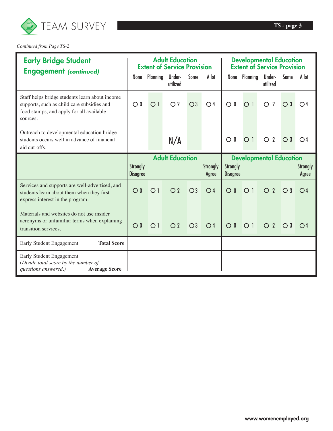

*Continued from Page TS-2*

| <b>Early Bridge Student</b><br><b>Engagement (continued)</b>                                                                                         |                                    | <b>Adult Education</b><br><b>Extent of Service Provision</b> |                        |                |                          | <b>Developmental Education</b><br><b>Extent of Service Provision</b> |                  |                                |              |                          |  |
|------------------------------------------------------------------------------------------------------------------------------------------------------|------------------------------------|--------------------------------------------------------------|------------------------|----------------|--------------------------|----------------------------------------------------------------------|------------------|--------------------------------|--------------|--------------------------|--|
|                                                                                                                                                      | None                               | Planning                                                     | Under-<br>utilized     | Some           | A lot                    |                                                                      | None Planning    | Under-<br>utilized             | <b>Some</b>  | A lot                    |  |
| Staff helps bridge students learn about income<br>supports, such as child care subsidies and<br>food stamps, and apply for all available<br>sources. | $\bigcirc$ 0                       | O <sub>1</sub>                                               | O <sub>2</sub>         | O <sub>3</sub> | O <sub>4</sub>           | $\overline{O}$ 0                                                     | O <sub>1</sub>   | $\overline{2}$<br>$\circ$      | $\bigcirc$ 3 | O4                       |  |
| Outreach to developmental education bridge<br>students occurs well in advance of financial<br>aid cut-offs.                                          |                                    |                                                              | N/A                    |                |                          | $\mathbf{0}$<br>$\circ$                                              | O <sub>1</sub>   | $\overline{2}$<br>$\bigcirc$   | $\bigcirc$ 3 | $\bigcirc$ 4             |  |
|                                                                                                                                                      |                                    |                                                              | <b>Adult Education</b> |                |                          |                                                                      |                  | <b>Developmental Education</b> |              |                          |  |
|                                                                                                                                                      | <b>Strongly</b><br><b>Disagree</b> |                                                              |                        |                | <b>Strongly</b><br>Agree | <b>Strongly</b><br><b>Disagree</b>                                   |                  |                                |              | <b>Strongly</b><br>Agree |  |
| Services and supports are well-advertised, and<br>students learn about them when they first<br>express interest in the program.                      | $\bigcirc$ 0                       | $\bigcirc$ 1                                                 | O <sub>2</sub>         | O <sub>3</sub> | O <sub>4</sub>           | $\overline{O}0$                                                      | $\overline{O}$ 1 | $\overline{2}$<br>O            | $\bigcirc$ 3 | O <sub>4</sub>           |  |
| Materials and websites do not use insider<br>acronyms or unfamiliar terms when explaining<br>transition services.                                    | $\bigcirc$ 0                       | O <sub>1</sub>                                               | O <sub>2</sub>         | O <sub>3</sub> | O <sub>4</sub>           | $\overline{O}$ 0                                                     | $\bigcirc$ 1     | $\overline{2}$<br>$\bigcap$    | $\bigcirc$ 3 | $\bigcirc$ 4             |  |
| <b>Total Score</b><br>Early Student Engagement                                                                                                       |                                    |                                                              |                        |                |                          |                                                                      |                  |                                |              |                          |  |
| Early Student Engagement<br>(Divide total score by the number of<br>questions answered.)<br><b>Average Score</b>                                     |                                    |                                                              |                        |                |                          |                                                                      |                  |                                |              |                          |  |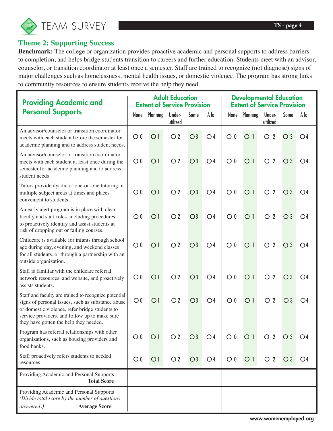

### **Theme 2: Supporting Success**

**Benchmark:** The college or organization provides proactive academic and personal supports to address barriers to completion, and helps bridge students transition to careers and further education. Students meet with an advisor, counselor, or transition coordinator at least once a semester. Staff are trained to recognize (not diagnose) signs of major challenges such as homelessness, mental health issues, or domestic violence. The program has strong links to community resources to ensure students receive the help they need.

| <b>Providing Academic and</b>                                                                                                                                                                                                                          | <b>Adult Education</b><br><b>Extent of Service Provision</b> |                |                    |                | <b>Developmental Education</b><br><b>Extent of Service Provision</b> |                               |                  |                                |                  |                |
|--------------------------------------------------------------------------------------------------------------------------------------------------------------------------------------------------------------------------------------------------------|--------------------------------------------------------------|----------------|--------------------|----------------|----------------------------------------------------------------------|-------------------------------|------------------|--------------------------------|------------------|----------------|
| <b>Personal Supports</b>                                                                                                                                                                                                                               | None                                                         | Planning       | Under-<br>utilized | <b>Some</b>    | A lot                                                                |                               | None Planning    | Under-<br>utilized             | Some             | A lot          |
| An advisor/counselor or transition coordinator<br>meets with each student before the semester for<br>academic planning and to address student needs.                                                                                                   | $\bigcirc$ 0                                                 | O <sub>1</sub> | O <sub>2</sub>     | $\bigcirc$ 3   | O <sub>4</sub>                                                       | $\circ$ 0                     | O <sub>1</sub>   | $\overline{2}$<br>$\bigcirc$   | $\bigcirc$ 3     | O <sub>4</sub> |
| An advisor/counselor or transition coordinator<br>meets with each student at least once during the<br>semester for academic planning and to address<br>student needs.                                                                                  | $\bigcirc$ 0                                                 | O <sub>1</sub> | O <sub>2</sub>     | $\bigcirc$     | O <sub>4</sub>                                                       | $\overline{O}$ 0              | O <sub>1</sub>   | $\boldsymbol{2}$<br>$\circ$    | $\bigcirc$ 3     | O4             |
| Tutors provide dyadic or one-on-one tutoring in<br>multiple subject areas at times and places<br>convenient to students.                                                                                                                               | $\bigcirc$ 0                                                 | O <sub>1</sub> | O <sub>2</sub>     | $\bigcirc$     | O <sub>4</sub>                                                       | $\overline{O}$ 0              | O <sub>1</sub>   | $\boldsymbol{2}$<br>$\circ$    | $\bigcirc$ 3     | O4             |
| An early alert program is in place with clear<br>faculty and staff roles, including procedures<br>to proactively identify and assist students at<br>risk of dropping out or failing courses.                                                           | $\bigcirc$ 0                                                 | O <sub>1</sub> | O <sub>2</sub>     | O <sub>3</sub> | O <sub>4</sub>                                                       | $\overline{O}$ 0              | O <sub>1</sub>   | $\overline{2}$<br>$\circ$      | $\bigcirc$ 3     | O <sub>4</sub> |
| Childcare is available for infants through school<br>age during day, evening, and weekend classes<br>for all students, or through a partnership with an<br>outside organization.                                                                       | $\bigcirc$ 0                                                 | O <sub>1</sub> | O <sub>2</sub>     | $\bigcirc$ 3   | O <sub>4</sub>                                                       | $\overline{O}$ 0              | O <sub>1</sub>   | $\boldsymbol{2}$<br>$\bigcirc$ | $\overline{O}$ 3 | O <sub>4</sub> |
| Staff is familiar with the childcare referral<br>network resources and website, and proactively<br>assists students.                                                                                                                                   | $\bigcirc$ 0                                                 | O <sub>1</sub> | O <sub>2</sub>     | $\bigcirc$     | O <sub>4</sub>                                                       | $\overline{O}$ $\overline{0}$ | O <sub>1</sub>   | $\overline{2}$<br>$\circ$      | $\bigcirc$ 3     | O4             |
| Staff and faculty are trained to recognize potential<br>signs of personal issues, such as substance abuse<br>or domestic violence, refer bridge students to<br>service providers, and follow up to make sure<br>they have gotten the help they needed. | $\bigcirc$ 0                                                 | O <sub>1</sub> | O <sub>2</sub>     | $\bigcirc$     | O <sub>4</sub>                                                       | $\bigcirc$ 0                  | O <sub>1</sub>   | $\boldsymbol{2}$<br>$\circ$    | $\bigcirc$ 3     | O <sub>4</sub> |
| Program has referral relationships with other<br>organizations, such as housing providers and<br>food banks.                                                                                                                                           | $\bigcirc$ 0                                                 | O <sub>1</sub> | $\overline{O}$ 2   | $\bigcirc$ 3   | $\bigcirc$ 4                                                         | $\bigcirc$ 0                  | $\overline{O}$ 1 | O <sub>2</sub> O <sub>3</sub>  |                  | ∪4             |
| Staff proactively refers students to needed<br>resources.                                                                                                                                                                                              | $\bigcirc$ 0                                                 | O <sub>1</sub> | O <sub>2</sub>     | O <sub>3</sub> | O <sub>4</sub>                                                       | $\bigcirc$ 0                  | O <sub>1</sub>   | O <sub>2</sub>                 | $\bigcirc$ 3     | O <sub>4</sub> |
| Providing Academic and Personal Supports<br><b>Total Score</b>                                                                                                                                                                                         |                                                              |                |                    |                |                                                                      |                               |                  |                                |                  |                |
| Providing Academic and Personal Supports<br>(Divide total score by the number of questions<br>answered.)<br><b>Average Score</b>                                                                                                                       |                                                              |                |                    |                |                                                                      |                               |                  |                                |                  |                |

www.womenemployed.org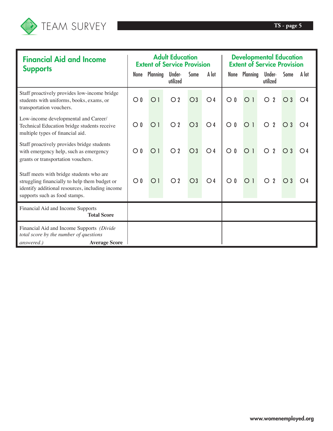

 $\overline{\phantom{a}}$ 

Ī

| <b>Financial Aid and Income</b>                                                                                                                                               |                  | <b>Adult Education</b><br><b>Extent of Service Provision</b> |                    |              |                | <b>Developmental Education</b><br><b>Extent of Service Provision</b> |                |                              |              |                |  |
|-------------------------------------------------------------------------------------------------------------------------------------------------------------------------------|------------------|--------------------------------------------------------------|--------------------|--------------|----------------|----------------------------------------------------------------------|----------------|------------------------------|--------------|----------------|--|
| <b>Supports</b>                                                                                                                                                               |                  | None Planning                                                | Under-<br>utilized | Some         | A lot          |                                                                      | None Planning  | Under-<br>utilized           | Some         | A lot          |  |
| Staff proactively provides low-income bridge<br>students with uniforms, books, exams, or<br>transportation vouchers.                                                          | $\bigcirc$ 0     | O <sub>1</sub>                                               | O <sub>2</sub>     | $\bigcirc$ 3 | O <sub>4</sub> | $\overline{O}$ 0                                                     | O <sub>1</sub> | $\overline{2}$<br>$\circ$    | $\bigcirc$ 3 | $\bigcirc$ 4   |  |
| Low-income developmental and Career/<br>Technical Education bridge students receive<br>multiple types of financial aid.                                                       | $\overline{O}$ 0 | O <sub>1</sub>                                               | O <sub>2</sub>     | $\bigcirc$ 3 | O <sub>4</sub> | $\circ$ 0                                                            | O <sub>1</sub> | $\overline{2}$<br>O          | $\bigcirc$ 3 | $\bigcirc$ 4   |  |
| Staff proactively provides bridge students<br>with emergency help, such as emergency<br>grants or transportation vouchers.                                                    | $\overline{O}$ 0 | O <sub>1</sub>                                               | O <sub>2</sub>     | $\bigcirc$ 3 | O <sub>4</sub> | $\circ$ 0                                                            | O <sub>1</sub> | $\overline{2}$<br>$\bigcirc$ | $\bigcirc$ 3 | O <sub>4</sub> |  |
| Staff meets with bridge students who are<br>struggling financially to help them budget or<br>identify additional resources, including income<br>supports such as food stamps. | $\overline{O}0$  | O <sub>1</sub>                                               | O <sub>2</sub>     | $\bigcirc$ 3 | O <sub>4</sub> | $\bigcirc$ 0                                                         | O <sub>1</sub> | $\overline{2}$<br>$\bigcirc$ | $\bigcirc$ 3 | $\bigcirc$ 4   |  |
| Financial Aid and Income Supports<br><b>Total Score</b>                                                                                                                       |                  |                                                              |                    |              |                |                                                                      |                |                              |              |                |  |
| Financial Aid and Income Supports (Divide)<br>total score by the number of questions<br><b>Average Score</b><br>answered.)                                                    |                  |                                                              |                    |              |                |                                                                      |                |                              |              |                |  |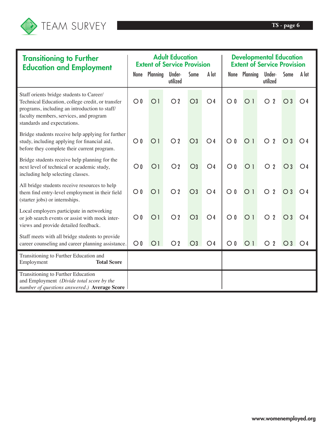

| <b>Transitioning to Further</b><br><b>Education and Employment</b>                                                                                                                                                     |                  | <b>Adult Education</b><br><b>Extent of Service Provision</b> |                    |                |                | <b>Developmental Education</b><br><b>Extent of Service Provision</b> |                |                                |              |                |  |
|------------------------------------------------------------------------------------------------------------------------------------------------------------------------------------------------------------------------|------------------|--------------------------------------------------------------|--------------------|----------------|----------------|----------------------------------------------------------------------|----------------|--------------------------------|--------------|----------------|--|
|                                                                                                                                                                                                                        | None             | <b>Planning</b>                                              | Under-<br>utilized | Some           | A lot          |                                                                      | None Planning  | Under-<br>utilized             | Some         | A lot          |  |
| Staff orients bridge students to Career/<br>Technical Education, college credit, or transfer<br>programs, including an introduction to staff/<br>faculty members, services, and program<br>standards and expectations. | $\bigcirc$ 0     | O <sub>1</sub>                                               | O <sub>2</sub>     | $\bigcirc$     | O <sub>4</sub> | $\overline{O}$ 0                                                     | O <sub>1</sub> | $\boldsymbol{2}$<br>$\bigcirc$ | $\bigcirc$ 3 | O <sub>4</sub> |  |
| Bridge students receive help applying for further<br>study, including applying for financial aid,<br>before they complete their current program.                                                                       | $\bigcirc$ 0     | O <sub>1</sub>                                               | O <sub>2</sub>     | $\bigcirc$ 3   | O <sub>4</sub> | $\overline{O}$ 0                                                     | O <sub>1</sub> | $\overline{2}$<br>$\Omega$     | $\bigcirc$ 3 | O <sub>4</sub> |  |
| Bridge students receive help planning for the<br>next level of technical or academic study,<br>including help selecting classes.                                                                                       | $\bigcirc$ 0     | O <sub>1</sub>                                               | O <sub>2</sub>     | O <sub>3</sub> | O <sub>4</sub> | $\overline{O}$ 0                                                     | O <sub>1</sub> | $\bigcirc$<br>$\overline{2}$   | $\bigcirc$ 3 | O <sub>4</sub> |  |
| All bridge students receive resources to help<br>them find entry-level employment in their field<br>(starter jobs) or internships.                                                                                     | $\overline{O}$ 0 | O <sub>1</sub>                                               | O <sub>2</sub>     | $\bigcirc$ 3   | O <sub>4</sub> | $\overline{O}$ 0                                                     | O <sub>1</sub> | $\overline{2}$<br>$\circ$      | $\bigcirc$ 3 | O <sub>4</sub> |  |
| Local employers participate in networking<br>or job search events or assist with mock inter-<br>views and provide detailed feedback.                                                                                   | $\bigcirc$ 0     | O <sub>1</sub>                                               | O <sub>2</sub>     | $\bigcirc$     | O <sub>4</sub> | $\overline{O}$ 0                                                     | O <sub>1</sub> | $\overline{2}$<br>$\circ$      | $\bigcirc$ 3 | O <sub>4</sub> |  |
| Staff meets with all bridge students to provide<br>career counseling and career planning assistance.                                                                                                                   | $\bigcirc$ 0     | O <sub>1</sub>                                               | O <sub>2</sub>     | $\bigcirc$     | O <sub>4</sub> | $\bigcirc$ 0                                                         | O <sub>1</sub> | $\overline{2}$<br>O            | $\bigcirc$ 3 | O <sub>4</sub> |  |
| Transitioning to Further Education and<br><b>Total Score</b><br>Employment                                                                                                                                             |                  |                                                              |                    |                |                |                                                                      |                |                                |              |                |  |
| Transitioning to Further Education<br>and Employment (Divide total score by the<br>number of questions answered.) Average Score                                                                                        |                  |                                                              |                    |                |                |                                                                      |                |                                |              |                |  |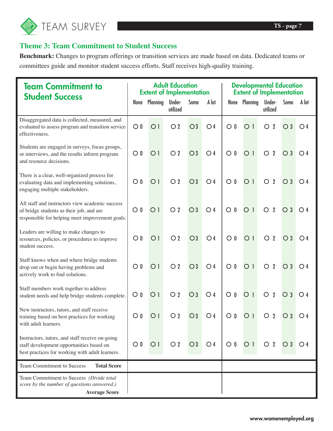

### **Theme 3: Team Commitment to Student Success**

**Benchmark:** Changes to program offerings or transition services are made based on data. Dedicated teams or committees guide and monitor student success efforts. Staff receives high-quality training.

| <b>Team Commitment to</b><br><b>Student Success</b>                                                                                            | <b>Adult Education</b><br><b>Extent of Implementation</b> |                |                    |              | <b>Developmental Education</b><br><b>Extent of Implementation</b> |                        |                |                             |                  |                  |
|------------------------------------------------------------------------------------------------------------------------------------------------|-----------------------------------------------------------|----------------|--------------------|--------------|-------------------------------------------------------------------|------------------------|----------------|-----------------------------|------------------|------------------|
|                                                                                                                                                | None                                                      | Planning       | Under-<br>utilized | Some         | A lot                                                             |                        | None Planning  | Under-<br>utilized          | Some             | A lot            |
| Disaggregated data is collected, measured, and<br>evaluated to assess program and transition service<br>effectiveness.                         | $\bigcirc$ 0                                              | O <sub>1</sub> | O <sub>2</sub>     | $\bigcirc$ 3 | O <sub>4</sub>                                                    | $\overline{O}$ 0       | O <sub>1</sub> | $\overline{2}$<br>$\circ$   | $\bigcirc$ 3     | O <sub>4</sub>   |
| Students are engaged in surveys, focus groups,<br>or interviews, and the results inform program<br>and resource decisions.                     | $\bigcirc$ 0                                              | O <sub>1</sub> | O <sub>2</sub>     | $\bigcirc$ 3 | O <sub>4</sub>                                                    | $\circ$ 0              | O <sub>1</sub> | $\boldsymbol{2}$<br>$\circ$ | $\bigcirc$ 3     | O <sub>4</sub>   |
| There is a clear, well-organized process for<br>evaluating data and implementing solutions,<br>engaging multiple stakeholders.                 | $\bigcirc$ 0                                              | O <sub>1</sub> | O <sub>2</sub>     | $\bigcirc$ 3 | O <sub>4</sub>                                                    | $\circ$ 0              | O <sub>1</sub> | $\overline{2}$<br>$\circ$   | $\bigcirc$ 3     | O <sub>4</sub>   |
| All staff and instructors view academic success<br>of bridge students as their job, and are<br>responsible for helping meet improvement goals. | $\bigcirc$ 0                                              | O <sub>1</sub> | O <sub>2</sub>     | $\bigcirc$ 3 | O <sub>4</sub>                                                    | $\mathbf 0$<br>$\circ$ | O <sub>1</sub> | $\overline{2}$<br>$\circ$   | $\bigcirc$ 3     | O <sub>4</sub>   |
| Leaders are willing to make changes to<br>resources, policies, or procedures to improve<br>student success.                                    | $\bigcirc$ 0                                              | O <sub>1</sub> | O <sub>2</sub>     | $\bigcirc$ 3 | O <sub>4</sub>                                                    | $\bigcirc$ 0           | O <sub>1</sub> | $\overline{2}$<br>$\circ$   | $\bigcirc$ 3     | O <sub>4</sub>   |
| Staff knows when and where bridge students<br>drop out or begin having problems and<br>actively work to find solutions.                        | $\bigcirc$ 0                                              | O <sub>1</sub> | O <sub>2</sub>     | $\bigcirc$ 3 | O <sub>4</sub>                                                    | $\circ$ 0              | O <sub>1</sub> | $\overline{2}$<br>$\circ$   | $\bigcirc$ 3     | O <sub>4</sub>   |
| Staff members work together to address<br>student needs and help bridge students complete.                                                     | $\circ$ 0                                                 | O <sub>1</sub> | O <sub>2</sub>     | $\bigcirc$ 3 | O <sub>4</sub>                                                    | $\circ$ 0              | O <sub>1</sub> | $\overline{2}$<br>$\circ$   | $\overline{O}$ 3 | O <sub>4</sub>   |
| New instructors, tutors, and staff receive<br>training based on best practices for working<br>with adult learners.                             | $\circ$ 0                                                 | O <sub>1</sub> | $\overline{O}$ 2   | $\bigcirc$ 3 | $\bigcirc$ 4                                                      | $\circ$ 0              | O 1            | $\overline{2}$<br>O         | $\circ$ 3        | $\overline{O}$ 4 |
| Instructors, tutors, and staff receive on-going<br>staff development opportunities based on<br>best practices for working with adult learners. | $\circ$ 0                                                 | O <sub>1</sub> | $\bigcirc$ 2       | $\bigcirc$ 3 | O <sub>4</sub>                                                    | $\bigcirc$ 0           | O <sub>1</sub> | $\overline{O}$ 2            | $\bigcirc$ 3     | O <sub>4</sub>   |
| <b>Team Commitment to Success</b><br><b>Total Score</b>                                                                                        |                                                           |                |                    |              |                                                                   |                        |                |                             |                  |                  |
| Team Commitment to Success (Divide total<br>score by the number of questions answered.)<br><b>Average Score</b>                                |                                                           |                |                    |              |                                                                   |                        |                |                             |                  |                  |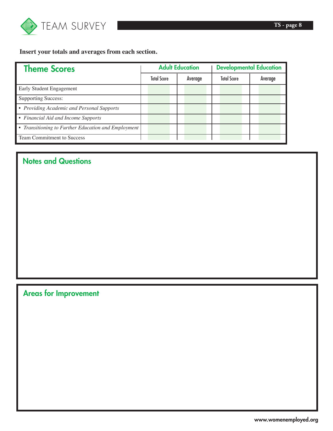

**Insert your totals and averages from each section.**

| <b>Theme Scores</b>                                 | <b>Adult Education</b> |                    | <b>Developmental Education</b> |  |                    |  |         |
|-----------------------------------------------------|------------------------|--------------------|--------------------------------|--|--------------------|--|---------|
|                                                     |                        | <b>Total Score</b> | Average                        |  | <b>Total Score</b> |  | Average |
| Early Student Engagement                            |                        |                    |                                |  |                    |  |         |
| <b>Supporting Success:</b>                          |                        |                    |                                |  |                    |  |         |
| • Providing Academic and Personal Supports          |                        |                    |                                |  |                    |  |         |
| • Financial Aid and Income Supports                 |                        |                    |                                |  |                    |  |         |
| • Transitioning to Further Education and Employment |                        |                    |                                |  |                    |  |         |
| Team Commitment to Success                          |                        |                    |                                |  |                    |  |         |

### Notes and Questions

Areas for Improvement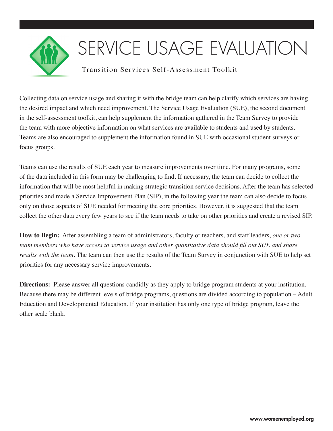

# SERVICE USAGE EVALUATIO

### Transition Services Self-Assessment Toolkit

Collecting data on service usage and sharing it with the bridge team can help clarify which services are having the desired impact and which need improvement. The Service Usage Evaluation (SUE), the second document in the self-assessment toolkit, can help supplement the information gathered in the Team Survey to provide the team with more objective information on what services are available to students and used by students. Teams are also encouraged to supplement the information found in SUE with occasional student surveys or focus groups.

Teams can use the results of SUE each year to measure improvements over time. For many programs, some of the data included in this form may be challenging to find. If necessary, the team can decide to collect the information that will be most helpful in making strategic transition service decisions. After the team has selected priorities and made a Service Improvement Plan (SIP), in the following year the team can also decide to focus only on those aspects of SUE needed for meeting the core priorities. However, it is suggested that the team collect the other data every few years to see if the team needs to take on other priorities and create a revised SIP.

**How to Begin:** After assembling a team of administrators, faculty or teachers, and staff leaders, *one or two team members who have access to service usage and other quantitative data should fill out SUE and share results with the team.* The team can then use the results of the Team Survey in conjunction with SUE to help set priorities for any necessary service improvements.

**Directions:** Please answer all questions candidly as they apply to bridge program students at your institution. Because there may be different levels of bridge programs, questions are divided according to population – Adult Education and Developmental Education. If your institution has only one type of bridge program, leave the other scale blank.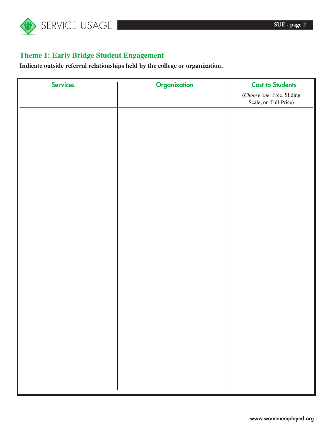

### **Theme 1: Early Bridge Student Engagement**

**Indicate outside referral relationships held by the college or organization.**

| <b>Services</b> | <b>Organization</b> | <b>Cost to Students</b>                             |
|-----------------|---------------------|-----------------------------------------------------|
|                 |                     | (Choose one: Free, Sliding<br>Scale, or Full-Price) |
|                 |                     |                                                     |
|                 |                     |                                                     |
|                 |                     |                                                     |
|                 |                     |                                                     |
|                 |                     |                                                     |
|                 |                     |                                                     |
|                 |                     |                                                     |
|                 |                     |                                                     |
|                 |                     |                                                     |
|                 |                     |                                                     |
|                 |                     |                                                     |
|                 |                     |                                                     |
|                 |                     |                                                     |
|                 |                     |                                                     |
|                 |                     |                                                     |
|                 |                     |                                                     |
|                 |                     |                                                     |
|                 |                     |                                                     |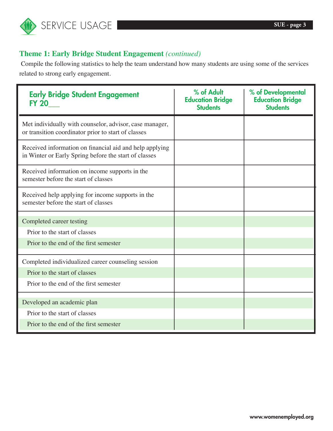

### **Theme 1: Early Bridge Student Engagement** *(continued)*

 Compile the following statistics to help the team understand how many students are using some of the services related to strong early engagement.

| <b>Early Bridge Student Engagement</b><br><b>FY 20</b>                                                           | % of Adult<br><b>Education Bridge</b><br><b>Students</b> | % of Developmental<br><b>Education Bridge</b><br><b>Students</b> |
|------------------------------------------------------------------------------------------------------------------|----------------------------------------------------------|------------------------------------------------------------------|
| Met individually with counselor, advisor, case manager,<br>or transition coordinator prior to start of classes   |                                                          |                                                                  |
| Received information on financial aid and help applying<br>in Winter or Early Spring before the start of classes |                                                          |                                                                  |
| Received information on income supports in the<br>semester before the start of classes                           |                                                          |                                                                  |
| Received help applying for income supports in the<br>semester before the start of classes                        |                                                          |                                                                  |
| Completed career testing                                                                                         |                                                          |                                                                  |
| Prior to the start of classes                                                                                    |                                                          |                                                                  |
| Prior to the end of the first semester                                                                           |                                                          |                                                                  |
| Completed individualized career counseling session                                                               |                                                          |                                                                  |
| Prior to the start of classes                                                                                    |                                                          |                                                                  |
| Prior to the end of the first semester                                                                           |                                                          |                                                                  |
| Developed an academic plan                                                                                       |                                                          |                                                                  |
| Prior to the start of classes                                                                                    |                                                          |                                                                  |
| Prior to the end of the first semester                                                                           |                                                          |                                                                  |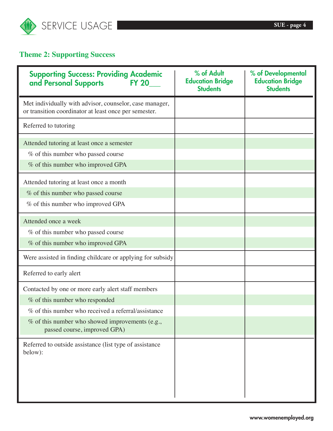

### **Theme 2: Supporting Success**

| <b>Supporting Success: Providing Academic</b><br>and Personal Supports<br><b>FY 20</b>                           | % of Adult<br><b>Education Bridge</b><br><b>Students</b> | % of Developmental<br><b>Education Bridge</b><br><b>Students</b> |
|------------------------------------------------------------------------------------------------------------------|----------------------------------------------------------|------------------------------------------------------------------|
| Met individually with advisor, counselor, case manager,<br>or transition coordinator at least once per semester. |                                                          |                                                                  |
| Referred to tutoring                                                                                             |                                                          |                                                                  |
| Attended tutoring at least once a semester                                                                       |                                                          |                                                                  |
| % of this number who passed course                                                                               |                                                          |                                                                  |
| % of this number who improved GPA                                                                                |                                                          |                                                                  |
| Attended tutoring at least once a month                                                                          |                                                          |                                                                  |
| % of this number who passed course                                                                               |                                                          |                                                                  |
| % of this number who improved GPA                                                                                |                                                          |                                                                  |
| Attended once a week                                                                                             |                                                          |                                                                  |
| % of this number who passed course                                                                               |                                                          |                                                                  |
| % of this number who improved GPA                                                                                |                                                          |                                                                  |
| Were assisted in finding childcare or applying for subsidy                                                       |                                                          |                                                                  |
| Referred to early alert                                                                                          |                                                          |                                                                  |
| Contacted by one or more early alert staff members                                                               |                                                          |                                                                  |
| % of this number who responded                                                                                   |                                                          |                                                                  |
| % of this number who received a referral/assistance                                                              |                                                          |                                                                  |
| $%$ of this number who showed improvements (e.g.,<br>passed course, improved GPA)                                |                                                          |                                                                  |
| Referred to outside assistance (list type of assistance<br>below):                                               |                                                          |                                                                  |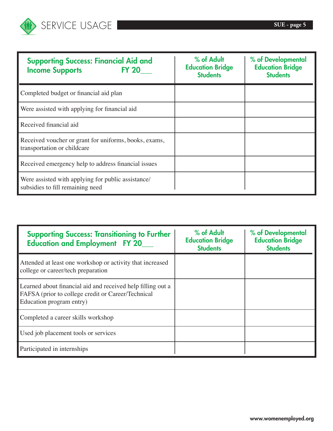

| <b>Supporting Success: Financial Aid and</b><br><b>Income Supports</b><br><b>FY 20</b> | % of Adult<br><b>Education Bridge</b><br><b>Students</b> | % of Developmental<br><b>Education Bridge</b><br><b>Students</b> |
|----------------------------------------------------------------------------------------|----------------------------------------------------------|------------------------------------------------------------------|
| Completed budget or financial aid plan                                                 |                                                          |                                                                  |
| Were assisted with applying for financial aid                                          |                                                          |                                                                  |
| Received financial aid                                                                 |                                                          |                                                                  |
| Received voucher or grant for uniforms, books, exams,<br>transportation or childcare   |                                                          |                                                                  |
| Received emergency help to address financial issues                                    |                                                          |                                                                  |
| Were assisted with applying for public assistance/<br>subsidies to fill remaining need |                                                          |                                                                  |

| <b>Supporting Success: Transitioning to Further</b><br><b>Education and Employment FY 20</b>                                                  | % of Adult<br><b>Education Bridge</b><br><b>Students</b> | % of Developmental<br><b>Education Bridge</b><br><b>Students</b> |
|-----------------------------------------------------------------------------------------------------------------------------------------------|----------------------------------------------------------|------------------------------------------------------------------|
| Attended at least one workshop or activity that increased<br>college or career/tech preparation                                               |                                                          |                                                                  |
| Learned about financial aid and received help filling out a<br>FAFSA (prior to college credit or Career/Technical<br>Education program entry) |                                                          |                                                                  |
| Completed a career skills workshop                                                                                                            |                                                          |                                                                  |
| Used job placement tools or services                                                                                                          |                                                          |                                                                  |
| Participated in internships                                                                                                                   |                                                          |                                                                  |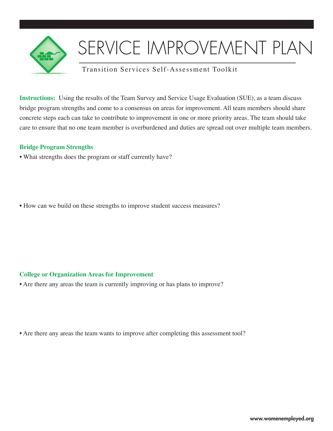

## SERVICE IMPROVEMENT PLAN

### Transition Services Self-Assessment Toolkit

**Instructions:** Using the results of the Team Survey and Service Usage Evaluation (SUE), as a team discuss bridge program strengths and come to a consensus on areas for improvement. All team members should share concrete steps each can take to contribute to improvement in one or more priority areas. The team should take care to ensure that no one team member is overburdened and duties are spread out over multiple team members.

### **Bridge Program Strengths**

• What strengths does the program or staff currently have?

• How can we build on these strengths to improve student success measures?

### **College or Organization Areas for Improvement**

• Are there any areas the team is currently improving or has plans to improve?

• Are there any areas the team wants to improve after completing this assessment tool?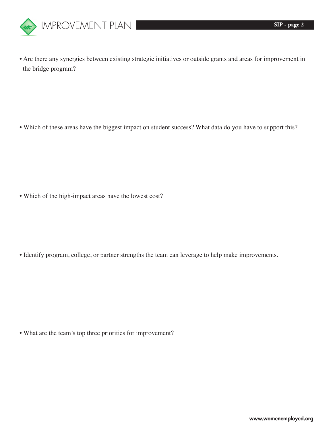

• Are there any synergies between existing strategic initiatives or outside grants and areas for improvement in the bridge program?

• Which of these areas have the biggest impact on student success? What data do you have to support this?

• Which of the high-impact areas have the lowest cost?

• Identify program, college, or partner strengths the team can leverage to help make improvements.

• What are the team's top three priorities for improvement?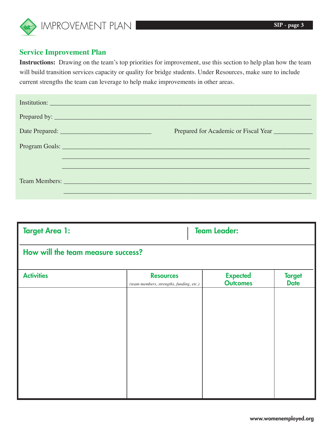

### **Service Improvement Plan**

**Instructions:** Drawing on the team's top priorities for improvement, use this section to help plan how the team will build transition services capacity or quality for bridge students. Under Resources, make sure to include current strengths the team can leverage to help make improvements in other areas.

| Institution: <u>Constitution</u>                |
|-------------------------------------------------|
|                                                 |
|                                                 |
| Program Goals:                                  |
|                                                 |
| Team Members: New York Street and Team Members: |

| <b>Target Area 1:</b>              |                                                              | <b>Team Leader:</b>                |                              |  |  |  |
|------------------------------------|--------------------------------------------------------------|------------------------------------|------------------------------|--|--|--|
| How will the team measure success? |                                                              |                                    |                              |  |  |  |
| <b>Activities</b>                  | <b>Resources</b><br>(team members, strengths, funding, etc.) | <b>Expected</b><br><b>Outcomes</b> | <b>Target</b><br><b>Date</b> |  |  |  |
|                                    |                                                              |                                    |                              |  |  |  |
|                                    |                                                              |                                    |                              |  |  |  |
|                                    |                                                              |                                    |                              |  |  |  |
|                                    |                                                              |                                    |                              |  |  |  |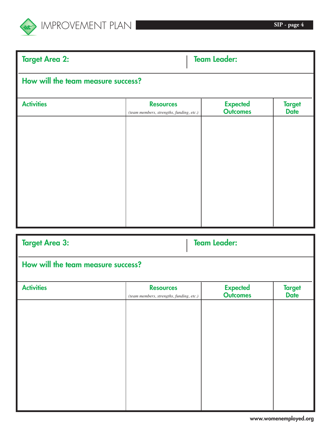

| <b>Target Area 2:</b>              |                                                              | <b>Team Leader:</b>                |                              |  |  |
|------------------------------------|--------------------------------------------------------------|------------------------------------|------------------------------|--|--|
| How will the team measure success? |                                                              |                                    |                              |  |  |
| <b>Activities</b>                  | <b>Resources</b><br>(team members, strengths, funding, etc.) | <b>Expected</b><br><b>Outcomes</b> | <b>Target</b><br><b>Date</b> |  |  |
|                                    |                                                              |                                    |                              |  |  |
|                                    |                                                              |                                    |                              |  |  |
|                                    |                                                              |                                    |                              |  |  |
|                                    |                                                              |                                    |                              |  |  |
|                                    |                                                              |                                    |                              |  |  |
|                                    |                                                              |                                    |                              |  |  |

| How will the team measure success?                           |                                    |                              |  |  |  |
|--------------------------------------------------------------|------------------------------------|------------------------------|--|--|--|
| <b>Resources</b><br>(team members, strengths, funding, etc.) | <b>Expected</b><br><b>Outcomes</b> | <b>Target</b><br><b>Date</b> |  |  |  |
|                                                              |                                    |                              |  |  |  |
|                                                              |                                    |                              |  |  |  |
|                                                              |                                    |                              |  |  |  |
|                                                              |                                    |                              |  |  |  |
|                                                              |                                    |                              |  |  |  |
|                                                              |                                    | <b>Team Leader:</b>          |  |  |  |